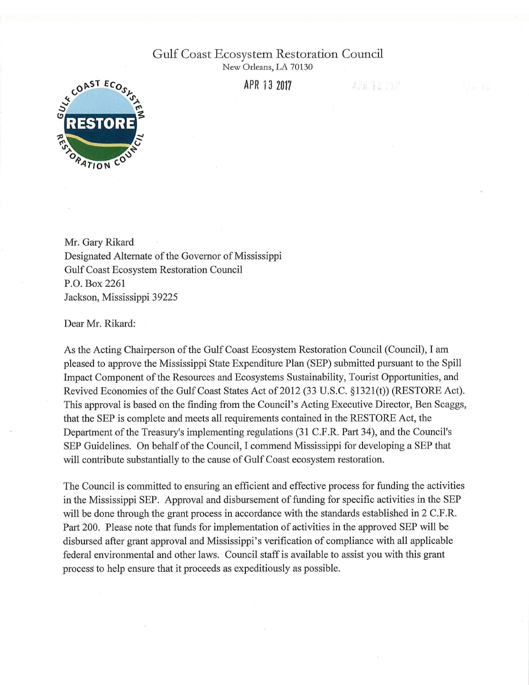## Gulf Coast Ecosystem Restoration Council

New Orleans, LA 70130

**APR 132811** 

APR 13 2021



Mr. Gary Rikard Designated Alternate of the Governor of Mississippi Gulf Coast Ecosystem Restoration Council P.O. Box 2261 Jackson, Mississippi 39225

Dear Mr. Rikard:

As the Acting Chairperson of the Gulf Coast Ecosystem Restoration Council (Council), I am pleased to approve the Mississippi State Expenditure Plan (SEP) submitted pursuant to the Spill Impact Component of the Resources and Ecosystems Sustainability, Tourist Opportunities, and Revived Economies of the Gulf Coast States Act of 2012 (33 U.S.C. §1321(t)) (RESTORE Act). This approval is based on the finding from the Council's Acting Executive Director, Ben Scaggs, that the SEP is complete and meets all requirements contained in the RESTORE Act, the Department of the Treasury's implementing regulations (31 C.F.R. Part 34), and the Council's SEP Guidelines. On behalf of the Council, I commend Mississippi for developing a SEP that will contribute substantially to the cause of Gulf Coast ecosystem restoration.

The Council is committed to ensuring an efficient and effective process for funding the activities in the Mississippi SEP. Approval and disbursement of funding for specific activities in the SEP will be done through the grant process in accordance with the standards established in 2 C.F.R. Part 200. Please note that funds for implementation of activities in the approved SEP will be disbursed after grant approval and Mississippi's verification of compliance with all applicable federal environmental and other laws. Council staff is available to assist you with this grant process to help ensure that it proceeds as expeditiously as possible.